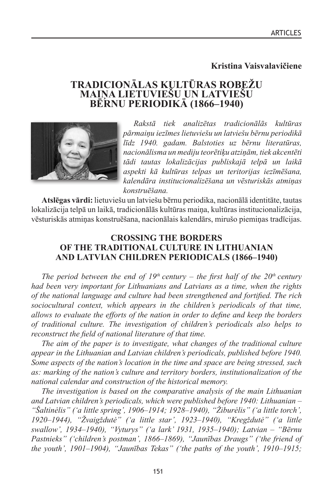# **Kristina Vaisvalavičiene**

# **TRADICIONĀLAS KULTŪRAS ROBEŽU BĒRNU PERIODIKĀ (1866–1940)**



*Rakstā tiek analizētas tradicionālās kultūras pārmaiņu iezīmes lietuviešu un latviešu bērnu periodikā līdz 1940. gadam. Balstoties uz bērnu literatūras, nacionālisma un mediju teorētiķu atziņām, tiek akcentēti tādi tautas lokalizācijas publiskajā telpā un laikā aspekti kā kultūras telpas un teritorijas iezīmēšana, kalendāra institucionalizēšana un vēsturiskās atmiņas konstruēšana.*

**Atslēgas vārdi:** lietuviešu un latviešu bērnu periodika, nacionālā identitāte, tautas lokalizācija telpā un laikā, tradicionālās kultūras maiņa, kultūras institucionalizācija, vēsturiskās atmiņas konstruēšana, nacionālais kalendārs, mirušo piemiņas tradīcijas.

# **CROSSING THE BORDERS OF THE TRADITIONAL CULTURE IN LITHUANIAN AND LATVIAN CHILDREN PERIODICALS (1866–1940)**

*The period between the end of 19<sup>th</sup> century – the first half of the 20<sup>th</sup> century had been very important for Lithuanians and Latvians as a time, when the rights of the national language and culture had been strengthened and fortified. The rich sociocultural context, which appears in the children's periodicals of that time, allows to evaluate the efforts of the nation in order to define and keep the borders of traditional culture. The investigation of children's periodicals also helps to reconstruct the field of national literature of that time.*

*The aim of the paper is to investigate, what changes of the traditional culture appear in the Lithuanian and Latvian children's periodicals, published before 1940. Some aspects of the nation's location in the time and space are being stressed, such as: marking of the nation's culture and territory borders, institutionalization of the national calendar and construction of the historical memory.*

*The investigation is based on the comparative analysis of the main Lithuanian and Latvian children's periodicals, which were published before 1940: Lithuanian – "Šaltinėlis" ('a little spring', 1906–1914; 1928–1940), "Žiburėlis" ('a little torch', 1920–1944), "Žvaigždutė" ('a little star', 1923–1940), "Kregždutė" ('a little swallow', 1934–1940), "Vyturys" ('a lark' 1931, 1935–1940); Latvian – "Bērnu Pastnieks" ('children's postman', 1866–1869), "Jaunības Draugs" ('the friend of the youth', 1901–1904), "Jaunības Tekas" ('the paths of the youth', 1910–1915;*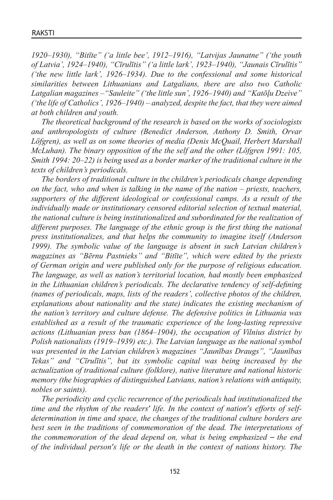*1920–1930), "Bitīte" ('a little bee', 1912–1916), "Latvijas Jaunatne" ('the youth of Latvia', 1924–1940), "Cīrulītis" ('a little lark', 1923–1940), "Jaunais Cīrulītis" ('the new little lark', 1926–1934). Due to the confessional and some historical similarities between Lithuanians and Latgalians, there are also two Catholic Latgalian magazines –"Sauleite" ('the little sun', 1926–1940) and "Katōļu Dzeive" ('the life of Catholics', 1926–1940) – analyzed, despite the fact, that they were aimed at both children and youth.*

*The theoretical background of the research is based on the works of sociologists and anthropologists of culture (Benedict Anderson, Anthony D. Smith, Orvar Löfgren), as well as on some theories of media (Denis McQuail, Herbert Marshall McLuhan). The binary opposition of the the self and the other (Löfgren 1991: 105, Smith 1994: 20–22) is being used as a border marker of the traditional culture in the texts of children's periodicals.*

*The borders of traditional culture in the children's periodicals change depending on the fact, who and when is talking in the name of the nation – priests, teachers, supporters of the different ideological or confessional camps. As a result of the individually made or institutionary censored editorial selection of textual material, the national culture is being institutionalized and subordinated for the realization of different purposes. The language of the ethnic group is the first thing the national press institutionalizes, and that helps the community to imagine itself (Anderson 1999). The symbolic value of the language is absent in such Latvian children's magazines as "Bērnu Pastnieks" and "Bitīte", which were edited by the priests of German origin and were published only for the purpose of religious education. The language, as well as nation's territorial location, had mostly been emphasized in the Lithuanian children's periodicals. The declarative tendency of self-defining (names of periodicals, maps, lists of the readers', collective photos of the children, explanations about nationality and the state) indicates the existing mechanism of the nation's territory and culture defense. The defensive politics in Lithuania was established as a result of the traumatic experience of the long-lasting repressive actions (Lithuanian press ban (1864–1904), the occupation of Vilnius district by Polish nationalists (1919–1939) etc.). The Latvian language as the national symbol was presented in the Latvian children's magazines "Jaunības Draugs", "Jaunības Tekas" and "Cīrulītis", but its symbolic capital was being increased by the actualization of traditional culture (folklore), native literature and national historic memory (the biographies of distinguished Latvians, nation's relations with antiquity, nobles or saints).*

*The periodicity and cyclic recurrence of the periodicals had institutionalized the time and the rhythm of the readers' life. In the context of nation's efforts of selfdetermination in time and space, the changes of the traditional culture borders are best seen in the traditions of commemoration of the dead. The interpretations of the commemoration of the dead depend on, what is being emphasized – the end of the individual person's life or the death in the context of nations history. The*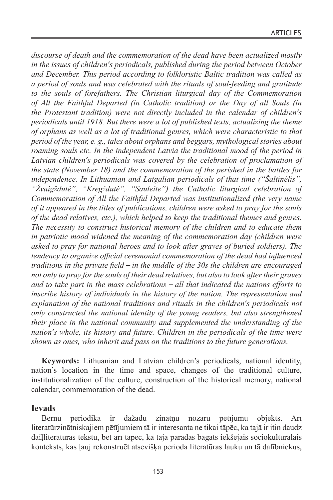*discourse of death and the commemoration of the dead have been actualized mostly in the issues of children's periodicals, published during the period between October and December. This period according to folkloristic Baltic tradition was called as a period of souls and was celebrated with the rituals of soul-feeding and gratitude to the souls of forefathers. The Christian liturgical day of the Commemoration of All the Faithful Departed (in Catholic tradition) or the Day of all Souls (in the Protestant tradition) were not directly included in the calendar of children's periodicals until 1918. But there were a lot of published texts, actualizing the theme of orphans as well as a lot of traditional genres, which were characteristic to that period of the year, e. g., tales about orphans and beggars, mythological stories about roaming souls etc. In the independent Latvia the traditional mood of the period in Latvian children's periodicals was covered by the celebration of proclamation of the state (November 18) and the commemoration of the perished in the battles for independence. In Lithuanian and Latgalian periodicals of that time ("Šaltinėlis", "Žvaigždutė", "Kregždutė", "Sauleite") the Catholic liturgical celebration of Commemoration of All the Faithful Departed was institutionalized (the very name of it appeared in the titles of publications, children were asked to pray for the souls of the dead relatives, etc.), which helped to keep the traditional themes and genres. The necessity to construct historical memory of the children and to educate them in patriotic mood widened the meaning of the commemoration day (children were asked to pray for national heroes and to look after graves of buried soldiers). The tendency to organize official ceremonial commemoration of the dead had influenced traditions in the private field – in the middle of the 30s the children are encouraged not only to pray for the souls of their dead relatives, but also to look after their graves and to take part in the mass celebrations – all that indicated the nations efforts to inscribe history of individuals in the history of the nation. The representation and explanation of the national traditions and rituals in the children's periodicals not only constructed the national identity of the young readers, but also strengthened their place in the national community and supplemented the understanding of the nation's whole, its history and future. Children in the periodicals of the time were shown as ones, who inherit and pass on the traditions to the future generations.*

**Keywords:** Lithuanian and Latvian children's periodicals, national identity, nation's location in the time and space, changes of the traditional culture, institutionalization of the culture, construction of the historical memory, national calendar, commemoration of the dead.

## **Ievads**

Bērnu periodika ir dažādu zinātņu nozaru pētījumu objekts. Arī literatūrzinātniskajiem pētījumiem tā ir interesanta ne tikai tāpēc, ka tajā ir itin daudz daiļliteratūras tekstu, bet arī tāpēc, ka tajā parādās bagāts iekšējais sociokulturālais konteksts, kas ļauj rekonstruēt atsevišķa perioda literatūras lauku un tā dalībniekus,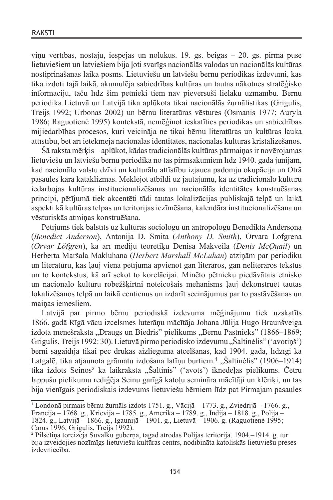viņu vērtības, nostāju, iespējas un nolūkus. 19. gs. beigas – 20. gs. pirmā puse lietuviešiem un latviešiem bija ļoti svarīgs nacionālās valodas un nacionālās kultūras nostiprināšanās laika posms. Lietuviešu un latviešu bērnu periodikas izdevumi, kas tika izdoti tajā laikā, akumulēja sabiedrības kultūras un tautas nākotnes stratēģisko informāciju, taču līdz šim pētnieki tiem nav pievērsuši lielāku uzmanību. Bērnu periodika Lietuvā un Latvijā tika aplūkota tikai nacionālās žurnālistikas (Grigulis, Treijs 1992; Urbonas 2002) un bērnu literatūras vēstures (Osmanis 1977; Auryla 1986; Raguotienė 1995) kontekstā, nemēģinot ieskatīties periodikas un sabiedrības mijiedarbības procesos, kuri veicināja ne tikai bērnu literatūras un kultūras lauka attīstību, bet arī ietekmēja nacionālās identitātes, nacionālās kultūras kristalizēšanos.

Šā raksta mērķis – aplūkot, kādas tradicionālās kultūras pārmaiņas ir novērojamas lietuviešu un latviešu bērnu periodikā no tās pirmsākumiem līdz 1940. gada jūnijam, kad nacionālo valstu dzīvi un kulturālu attīstību izjauca padomju okupācija un Otrā pasaules kara kataklizmas. Meklējot atbildi uz jautājumu, kā uz tradicionālo kultūru iedarbojas kultūras institucionalizēšanas un nacionālās identitātes konstruēšanas principi, pētījumā tiek akcentēti tādi tautas lokalizācijas publiskajā telpā un laikā aspekti kā kultūras telpas un teritorijas iezīmēšana, kalendāra institucionalizēšana un vēsturiskās atmiņas konstruēšana.

Pētījums tiek balstīts uz kultūras sociologu un antropologu Benedikta Andersona (*Benedict Anderson*), Antonija D. Smita (*Anthony D. Smith*), Orvara Lofgrena (*Orvar Löfgren*), kā arī mediju teorētiķu Denisa Makveila (*Denis McQuail*) un Herberta Maršala Makluhana (*Herbert Marshall McLuhan*) atziņām par periodiku un literatūru, kas ļauj vienā pētījumā apvienot gan literāros, gan neliterāros tekstus un to kontekstus, kā arī sekot to korelācijai. Minēto pētnieku piedāvātais etnisko un nacionālo kultūru robežšķirtni noteicošais mehānisms ļauj dekonstruēt tautas lokalizēšanos telpā un laikā centienus un izdarīt secinājumus par to pastāvēšanas un mainas iemesliem.

Latvijā par pirmo bērnu periodiskā izdevuma mēģinājumu tiek uzskatīts 1866. gadā Rīgā vācu izcelsmes luterāņu mācītāja Johana Jūlija Hugo Braunšveiga izdotā mēnešraksta "Draugs un Biedris" pielikums "Bērnu Pastnieks" (1866–1869; Grigulis, Treijs 1992: 30). Lietuvā pirmo periodisko izdevumu "Šaltinėlis" ('avotinš') bērni sagaidīja tikai pēc drukas aizlieguma atcelšanas, kad 1904. gadā, līdzīgi kā Latgalē, tika atjaunota grāmatu izdošana latīņu burtiem.<sup>1</sup> "Šaltinėlis" (1906–1914) tika izdots Seinos<sup>2</sup> kā laikraksta "Šaltinis" ('avots') iknedēļas pielikums. Četru lappušu pielikumu rediģēja Seinu garīgā katoļu semināra mācītāji un klēriķi, un tas bija vienīgais periodiskais izdevums lietuviešu bērniem līdz pat Pirmajam pasaules

<sup>&</sup>lt;sup>1</sup> Londonā pirmais bērnu žurnāls izdots 1751. g., Vācijā – 1773. g., Zviedrijā – 1766. g., Francijā – 1768. g., Krievijā – 1785. g., Amerikā – 1789. g., Indijā – 1818. g., Polijā – 1824. g., Latvijā – 1866. g., Igaunijā – 1901. g., Lietuvā – 1906. g. (Raguotienė 1995; Carus 1996; Grigulis, Treijs 1992).

<sup>&</sup>lt;sup>2</sup> Pilsētiņa toreizējā Suvalku guberņā, tagad atrodas Polijas teritorijā. 1904.–1914. g. tur bija izveidojies nozīmīgs lietuviešu kultūras centrs, nodibināta katoliskās lietuviešu preses izdevniecība.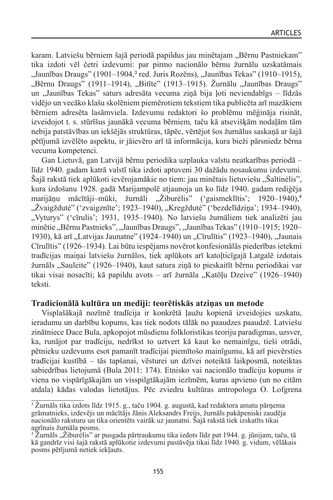karam. Latviešu bērniem šajā periodā papildus jau minētajam "Bērnu Pastniekam" tika izdoti vēl četri izdevumi: par pirmo nacionālo bērnu žurnālu uzskatāmais "Jaunības Draugs" (1901–1904,<sup>3</sup> red. Juris Rozēns), "Jaunības Tekas" (1910–1915), "Bērnu Draugs" (1911–1914), "Bitīte" (1913–1915). Žurnālu "Jaunības Draugs" un "Jaunības Tekas" saturs adresāta vecuma ziņā bija ļoti neviendabīgs - līdzās vidējo un vecāko klašu skolēniem piemērotiem tekstiem tika publicēta arī mazākiem bērniem adresēta lasāmviela. Izdevumu redaktori šo problēmu mēģināja risināt, izveidojot t. s. stūrīšus jaunākā vecuma bērniem*,* taču kā atsevišķām nodaļām tām nebija patstāvības un iekšējās struktūras, tāpēc, vērtējot šos žurnālus saskaņā ar šajā pētījumā izvēlēto aspektu, ir jāievēro arī tā informācija, kura bieži pārsniedz bērna vecuma kompetenci.

Gan Lietuvā, gan Latvijā bērnu periodika uzplauka valstu neatkarības periodā – līdz 1940. gadam katrā valstī tika izdoti aptuveni 30 dažādu nosaukumu izdevumi. Šajā rakstā tiek aplūkoti ievērojamākie no tiem: jau minētais lietuviešu "Šaltinėlis", kura izdošanu 1928. gadā Marijampolē atjaunoja un ko līdz 1940. gadam rediģēja marijāņu mācītāji-mūki, žurnāli "Žiburėlis" ('gaismeklītis'; 1920–1940).<sup>4</sup> "Žvaigždutė" ('zvaigznīte'; 1923–1940), "Kregždutė" ('bezdelīdziņa'; 1934–1940), "Vyturys" ('cīrulis'; 1931, 1935–1940). No latviešu žurnāliem tiek analizēti jau minētie "Bērnu Pastnieks", "Jaunības Draugs", "Jaunības Tekas" (1910–1915; 1920– 1930), kā arī "Latvijas Jaunatne" (1924–1940) un "Cīrulītis" (1923–1940), "Jaunais Cīrulītis" (1926–1934). Lai būtu iespējams novērot konfesionālās piederības ietekmi tradīcijas maiņai latviešu žurnālos, tiek aplūkots arī katoļticīgajā Latgalē izdotais žurnāls "Sauleite" (1926–1940), kaut satura ziņā to pieskaitīt bērnu periodikai var tikai visai nosacīti; kā papildu avots – arī žurnāla "Katōļu Dzeive" (1926–1940) teksti.

# **Tradicionālā kultūra un mediji: teorētiskās atziņas un metode**

Visplašākajā nozīmē tradīcija ir konkrētā ļaužu kopienā izveidojies uzskatu, ieradumu un darbību kopums, kas tiek nodots tālāk no paaudzes paaudzē. Latviešu zinātniece Dace Bula, apkopojot mūsdienu folkloristikas teoriju paradigmas, uzsver, ka, runājot par tradīciju, nedrīkst to uztvert kā kaut ko nemainīgu, tieši otrādi, pētnieku uzdevums esot pamanīt tradīcijai piemītošo mainīgumu, kā arī pievērsties tradīcijai kustībā – tās tapšanai, vēsturei un dzīvei noteiktā laikposmā, noteiktas sabiedrības lietojumā (Bula 2011: 174). Etnisko vai nacionālo tradīciju kopums ir viena no vispārīgākajām un visspilgtākajām iezīmēm, kuras apvieno (un no citām atdala) kādas valodas lietotājus. Pēc zviedru kultūras antropologa O. Lofgrena

<sup>&</sup>lt;sup>3</sup> Žurnāls tika izdots līdz 1915. g., taču 1904. g. augustā, kad redaktora amatu pārņema grāmatnieks, izdevējs un mācītājs Jānis Aleksandrs Freijs, žurnāls pakāpeniski zaudēja nacionālo raksturu un tika orientēts vairāk uz jaunatni. Šajā rakstā tiek izskatīts tikai agrīnais žurnāla posms.

 $4\text{ Zurnāls}, \text{Ziburēlis}$  ar pusgada pārtraukumu tika izdots līdz pat 1944. g. jūnijam, taču, tā kā gandrīz visi šajā rakstā aplūkotie izdevumi pastāvēja tikai līdz 1940. g. vidum, vēlākais posms pētījumā netiek iekļauts.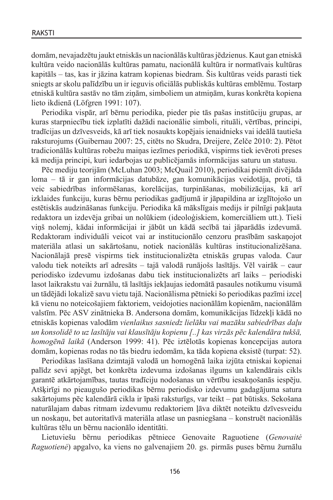domām, nevajadzētu jaukt etniskās un nacionālās kultūras jēdzienus. Kaut gan etniskā kultūra veido nacionālās kultūras pamatu, nacionālā kultūra ir normatīvais kultūras kapitāls – tas, kas ir jāzina katram kopienas biedram. Šis kultūras veids parasti tiek sniegts ar skolu palīdzību un ir ieguvis oficiālās publiskās kultūras emblēmu. Tostarp etniskā kultūra sastāv no tām ziņām, simboliem un atmiņām, kuras konkrēta kopiena lieto ikdienā (Löfgren 1991: 107).

Periodika vispār, arī bērnu periodika, pieder pie tās pašas institūciju grupas, ar kuras starpniecību tiek izplatīti dažādi nacionālie simboli, rituāli, vērtības, principi, tradīcijas un dzīvesveids, kā arī tiek nosaukts kopējais ienaidnieks vai ideālā tautieša raksturojums (Guibernau 2007: 25, citēts no Skudra, Dreijere, Zelče 2010: 2). Pētot tradicionālās kultūras robežu maiņas iezīmes periodikā, vispirms tiek ievēroti preses kā medija principi, kuri iedarbojas uz publicējamās informācijas saturu un statusu.

Pēc mediju teorijām (McLuhan 2003; McQuail 2010), periodikai piemīt divējāda loma – tā ir gan informācijas datubāze, gan komunikācijas veidotāja, proti, tā veic sabiedrības informēšanas, korelācijas, turpināšanas, mobilizācijas, kā arī izklaides funkciju, kuras bērnu periodikas gadījumā ir jāpapildina ar izglītojošo un estētiskās audzināšanas funkciju. Periodika kā mākslīgais medijs ir pilnīgi pakļauta redaktora un izdevēja gribai un nolūkiem (ideoloģiskiem, komerciāliem utt.). Tieši viņš nolemj, kādai informācijai ir jābūt un kādā secībā tai jāparādās izdevumā. Redaktoram individuāli veicot vai ar institucionālo cenzoru prasībām saskaņojot materiāla atlasi un sakārtošanu, notiek nacionālās kultūras institucionalizēšana. Nacionālajā presē vispirms tiek institucionalizēta etniskās grupas valoda. Caur valodu tiek noteikts arī adresāts – tajā valodā runājošs lasītājs. Vēl vairāk – caur periodisko izdevumu izdošanas dabu tiek institucionalizēts arī laiks – periodiski lasot laikrakstu vai žurnālu, tā lasītājs iekļaujas iedomātā pasaules notikumu visumā un tādējādi lokalizē savu vietu tajā. Nacionālisma pētnieki šo periodikas pazīmi izceļ kā vienu no noteicošajiem faktoriem, veidojoties nacionālām kopienām, nacionālām valstīm. Pēc ASV zinātnieka B. Andersona domām, komunikācijas līdzekļi kādā no etniskās kopienas valodām *vienlaikus sasniedz lielāku vai mazāku sabiedrības daļu un konsolidē to uz lasītāju vai klausītāju kopienu [..] kas virzās pēc kalendāra tukšā, homogēnā laikā* (Anderson 1999: 41). Pēc iztēlotās kopienas koncepcijas autora domām, kopienas rodas no tās biedru iedomām, ka tāda kopiena eksistē (turpat: 52).

Periodikas lasīšana dzimtajā valodā un homogēnā laika izjūta etniskai kopienai palīdz sevi apjēgt, bet konkrēta izdevuma izdošanas ilgums un kalendārais cikls garantē atkārtojamības, tautas tradīciju nodošanas un vērtību iesakņošanās iespēju. Atšķirīgi no pieaugušo periodikas bērnu periodisko izdevumu gadagājuma satura sakārtojums pēc kalendārā cikla ir īpaši raksturīgs, var teikt – pat būtisks. Sekošana naturālajam dabas ritmam izdevumu redaktoriem ļāva diktēt noteiktu dzīvesveidu un noskaņu, bet autoritatīvā materiāla atlase un pasniegšana – konstruēt nacionālās kultūras tēlu un bērnu nacionālo identitāti.

Lietuviešu bērnu periodikas pētniece Genovaite Raguotiene (*Genovaitė Raguotienė*) apgalvo, ka viens no galvenajiem 20. gs. pirmās puses bērnu žurnālu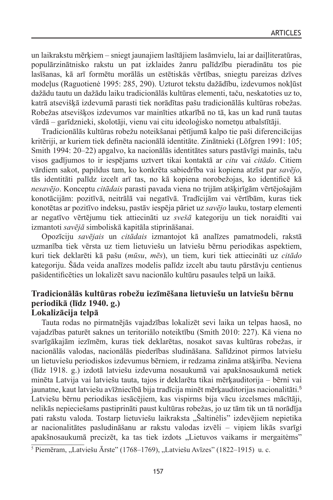un laikrakstu mērķiem – sniegt jaunajiem lasītājiem lasāmvielu, lai ar daiļliteratūras, populārzinātnisko rakstu un pat izklaides žanru palīdzību pieradinātu tos pie lasīšanas, kā arī formētu morālās un estētiskās vērtības, sniegtu pareizas dzīves modeļus (Raguotienė 1995: 285, 290). Uzturot tekstu dažādību, izdevumos nokļūst dažādu tautu un dažādu laiku tradicionālās kultūras elementi, taču, neskatoties uz to, katrā atsevišķā izdevumā parasti tiek norādītas pašu tradicionālās kultūras robežas. Robežas atsevišķos izdevumos var mainīties atkarībā no tā, kas un kad runā tautas vārdā – garīdznieki, skolotāji, vienu vai citu ideoloģisko nometņu atbalstītāji.

Tradicionālās kultūras robežu noteikšanai pētījumā kalpo tie paši diferenciācijas kritēriji, ar kuriem tiek definēta nacionālā identitāte. Zinātnieki (Löfgren 1991: 105; Smith 1994: 20–22) apgalvo, ka nacionālās identitātes saturs pastāvīgi mainās, taču visos gadījumos to ir iespējams uztvert tikai kontaktā ar *citu* vai *citādo*. Citiem vārdiem sakot, papildus tam, ko konkrēta sabiedrība vai kopiena atzīst par *savējo*, tās identitāti palīdz izcelt arī tas, no kā kopiena norobežojas, ko identificē kā *nesavējo*. Konceptu *citādais* parasti pavada viena no trijām atšķirīgām vērtējošajām konotācijām: pozitīvā, neitrālā vai negatīvā. Tradīcijām vai vērtībām, kuras tiek konotētas ar pozitīvo indeksu, pastāv iespēja pāriet uz *savējo* lauku, tostarp elementi ar negatīvo vērtējumu tiek attiecināti uz *svešā* kategoriju un tiek noraidīti vai izmantoti *savējā* simboliskā kapitāla stiprināšanai.

Opozīciju *savējais* un *citādais* izmantojot kā analīzes pamatmodeli, rakstā uzmanība tiek vērsta uz tiem lietuviešu un latviešu bērnu periodikas aspektiem, kuri tiek deklarēti kā pašu (*mūsu*, *mēs*), un tiem, kuri tiek attiecināti uz *citādo* kategoriju. Šāda veida analīzes modelis palīdz izcelt abu tautu pārstāvju centienus pašidentificēties un lokalizēt savu nacionālo kultūru pasaules telpā un laikā.

## **Tradicionālās kultūras robežu iezīmēšana lietuviešu un latviešu bērnu periodikā (līdz 1940. g.) Lokalizācija telpā**

Tauta rodas no pirmatnējās vajadzības lokalizēt sevi laika un telpas haosā, no vajadzības paturēt saknes un teritoriālo noteiktību (Smith 2010: 227). Kā viena no svarīgākajām iezīmēm, kuras tiek deklarētas, nosakot savas kultūras robežas, ir nacionālās valodas, nacionālās piederības sludināšana. Salīdzinot pirmos latviešu un lietuviešu periodiskos izdevumus bērniem, ir redzama zināma atšķirība. Neviena (līdz 1918. g.) izdotā latviešu izdevuma nosaukumā vai apakšnosaukumā netiek minēta Latvija vai latviešu tauta, tajos ir deklarēta tikai mērķauditorija – bērni vai jaunatne, kaut latviešu avīžniecībā bija tradīcija minēt mērķauditorijas nacionalitāti.<sup>5</sup> Latviešu bērnu periodikas iesācējiem, kas vispirms bija vācu izcelsmes mācītāji, nelikās nepieciešams pastiprināti paust kultūras robežas, jo uz tām tik un tā norādīja pati rakstu valoda. Tostarp lietuviešu laikraksta "Šaltinėlis" izdevējiem nepietika ar nacionalitātes pasludināšanu ar rakstu valodas izvēli – viņiem likās svarīgi apakšnosaukumā precizēt, ka tas tiek izdots "Lietuvos vaikams ir mergaitėms"

 $5$  Piemēram, "Latviešu Ārste" (1768–1769), "Latviešu Avīzes" (1822–1915) u. c.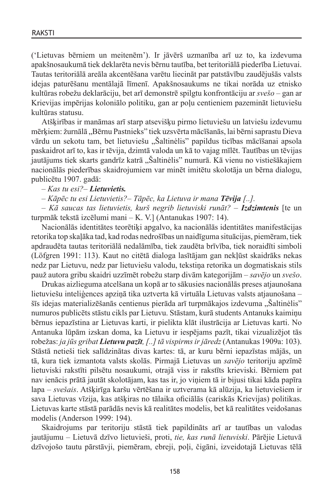('Lietuvas bērniem un meitenēm'). Ir jāvērš uzmanība arī uz to, ka izdevuma apakšnosaukumā tiek deklarēta nevis bērnu tautība, bet teritoriālā piederība Lietuvai. Tautas teritoriālā areāla akcentēšana varētu liecināt par patstāvību zaudējušās valsts idejas paturēšanu mentālajā līmenī. Apakšnosaukums ne tikai norāda uz etnisko kultūras robežu deklarāciju, bet arī demonstrē spilgtu konfrontāciju ar *svešo* – gan ar Krievijas impērijas koloniālo politiku, gan ar poļu centieniem pazemināt lietuviešu kultūras statusu.

Atšķirības ir manāmas arī starp atsevišķu pirmo lietuviešu un latviešu izdevumu mērķiem: žurnālā "Bērnu Pastnieks" tiek uzsvērta mācīšanās, lai bērni saprastu Dieva vārdu un sekotu tam, bet lietuviešu "Šaltinėlis" papildus ticības mācīšanai apsola paskaidrot arī to, kas ir tēvija, dzimtā valoda un kā to vajag mīlēt. Tautības un tēvijas jautājums tiek skarts gandrīz katrā "Šaltinėlis" numurā. Kā vienu no vistiešākajiem nacionālās piederības skaidrojumiem var minēt imitētu skolotāja un bērna dialogu, publicētu 1907. gadā:

*– Kas tu esi?– Lietuvietis.*

*– Kāpēc tu esi Lietuvietis?– Tāpēc, ka Lietuva ir mana Tēvija [..].*

*– Kā saucas tas lietuvietis, kurš negrib lietuviski runāt?* – *Izdzimtenis* [te un turpmāk tekstā izcēlumi mani – K. V.] (Antanukas 1907: 14).

Nacionālās identitātes teorētiķi apgalvo, ka nacionālās identitātes manifestācijas retorika top skaļāka tad, kad rodas nedrošības un naidīguma situācijas, piemēram, tiek apdraudēta tautas teritoriālā nedalāmība, tiek zaudēta brīvība, tiek noraidīti simboli (Löfgren 1991: 113). Kaut no citētā dialoga lasītājam gan nekļūst skaidrāks nekas nedz par Lietuvu, nedz par lietuviešu valodu, tekstiņa retorika un dogmatiskais stils pauž autora gribu skaidri uzzīmēt robežu starp divām kategorijām – *savējo* un *svešo*.

Drukas aizlieguma atcelšana un kopā ar to sākusies nacionālās preses atjaunošana lietuviešu inteliģences apziņā tika uztverta kā virtuāla Lietuvas valsts atjaunošana – šīs idejas materializēšanās centienus pierāda arī turpmākajos izdevuma "Šaltinėlis" numuros publicēts stāstu cikls par Lietuvu. Stāstam, kurā students Antanuks kaimiņu bērnus iepazīstina ar Lietuvas karti, ir pielikta klāt ilustrācija ar Lietuvas karti. No Antanuka lūpām izskan doma, ka Lietuvu ir iespējams pazīt, tikai vizualizējot tās robežas: *ja jūs gribat Lietuvu pazīt,[..] tā vispirms ir jāredz* (Antanukas 1909a: 103). Stāstā netieši tiek salīdzinātas divas kartes: tā, ar kuru bērni iepazīstas mājās, un tā, kura tiek izmantota valsts skolās. Pirmajā Lietuvas un *savējo* teritoriju apzīmē lietuviski rakstīti pilsētu nosaukumi, otrajā viss ir rakstīts krieviski. Bērniem pat nav ienācis prātā jautāt skolotājam, kas tas ir, jo viņiem tā ir bijusi tikai kāda papīra lapa – *svešais*. Atšķirīga karšu vērtēšana ir uztverama kā alūzija, ka lietuviešiem ir sava Lietuvas vīzija, kas atšķiras no tālaika oficiālās (cariskās Krievijas) politikas. Lietuvas karte stāstā parādās nevis kā realitātes modelis, bet kā realitātes veidošanas modelis (Anderson 1999: 194).

Skaidrojums par teritoriju stāstā tiek papildināts arī ar tautības un valodas jautājumu – Lietuvā dzīvo lietuvieši, proti, *tie, kas runā lietuviski*. Pārējie Lietuvā dzīvojošo tautu pārstāvji, piemēram, ebreji, poļi, čigāni, izveidotajā Lietuvas tēlā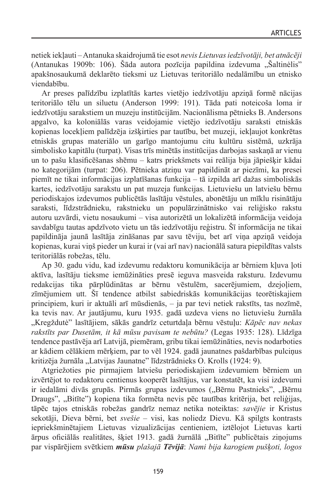netiek iekļauti – Antanuka skaidrojumā tie esot *nevis Lietuvas iedzīvotāji, bet atnācēji*  (Antanukas 1909b: 106). Šāda autora pozīcija papildina izdevuma "Šaltinėlis" apakšnosaukumā deklarēto tieksmi uz Lietuvas teritoriālo nedalāmību un etnisko viendabību.

Ar preses palīdzību izplatītās kartes vietējo iedzīvotāju apziņā formē nācijas teritoriālo tēlu un siluetu (Anderson 1999: 191). Tāda pati noteicoša loma ir iedzīvotāju sarakstiem un muzeju institūcijām. Nacionālisma pētnieks B. Andersons apgalvo, ka koloniālās varas veidojamie vietējo iedzīvotāju saraksti etniskās kopienas locekļiem palīdzēja izšķirties par tautību, bet muzeji, iekļaujot konkrētas etniskās grupas materiālo un garīgo mantojumu citu kultūru sistēmā, uzkrāja simbolisko kapitālu (turpat). Visas trīs minētās institūcijas darbojas saskaņā ar vienu un to pašu klasificēšanas shēmu – katrs priekšmets vai reālija bija jāpiešķir kādai no kategorijām (turpat: 206). Pētnieka atziņu var papildināt ar piezīmi, ka presei piemīt ne tikai informācijas izplatīšanas funkcija – tā izpilda arī dažas simboliskās kartes, iedzīvotāju sarakstu un pat muzeja funkcijas. Lietuviešu un latviešu bērnu periodiskajos izdevumos publicētās lasītāju vēstules, abonētāju un mīklu risinātāju saraksti, līdzstrādnieku, rakstnieku un populārzinātnisko vai reliģisko rakstu autoru uzvārdi, vietu nosaukumi – visa autorizētā un lokalizētā informācija veidoja savdabīgu tautas apdzīvoto vietu un tās iedzīvotāju reģistru. Šī informācija ne tikai papildināja jaunā lasītāja zināšanas par savu tēviju, bet arī viņa apziņā veidoja kopienas, kurai viņš pieder un kurai ir (vai arī nav) nacionālā satura piepildītas valsts teritoriālās robežas, tēlu.

Ap 30. gadu vidu, kad izdevumu redaktoru komunikācija ar bērniem kļuva ļoti aktīva, lasītāju tieksme iemūžināties presē ieguva masveida raksturu. Izdevumu redakcijas tika pārplūdinātas ar bērnu vēstulēm, sacerējumiem, dzejoļiem, zīmējumiem utt. Šī tendence atbilst sabiedriskās komunikācijas teorētiskajiem principiem, kuri ir aktuāli arī mūsdienās, – ja par tevi netiek rakstīts, tas nozīmē, ka tevis nav. Ar jautājumu, kuru 1935. gadā uzdeva viens no lietuviešu žurnāla "Kregždutė" lasītājiem, sākās gandrīz ceturtdaļa bērnu vēstuļu: *Kāpēc nav nekas rakstīts par Dusetām, it kā mūsu pavisam te nebūtu?* (Legas 1935: 128). Līdzīga tendence pastāvēja arī Latvijā, piemēram, gribu tikai iemūžināties, nevis nodarboties ar kādiem cēlākiem mērķiem, par to vēl 1924. gadā jaunatnes pašdarbības pulciņus kritizēja žurnāla "Latvijas Jaunatne" līdzstrādnieks O. Krolls (1924: 9).

Atgriežoties pie pirmajiem latviešu periodiskajiem izdevumiem bērniem un izvērtējot to redaktoru centienus kooperēt lasītājus, var konstatēt, ka visi izdevumi ir iedalāmi divās grupās. Pirmās grupas izdevumos ("Bērnu Pastnieks", "Bērnu Draugs", "Bitīte") kopiena tika formēta nevis pēc tautības kritērija, bet reliģijas, tāpēc tajos etniskās robežas gandrīz nemaz netika noteiktas: *savējie* ir Kristus sekotāji, Dieva bērni, bet *svešie* – visi, kas noliedz Dievu. Kā spilgts kontrasts iepriekšminētajiem Lietuvas vizualizācijas centieniem, iztēlojot Lietuvas karti ārpus oficiālās realitātes, šķiet 1913. gadā žurnālā "Bitīte" publicētais ziņojums par vispārējiem svētkiem *mūsu plašajā Tēvijā*: *Nami bija karogiem pušķoti, logos*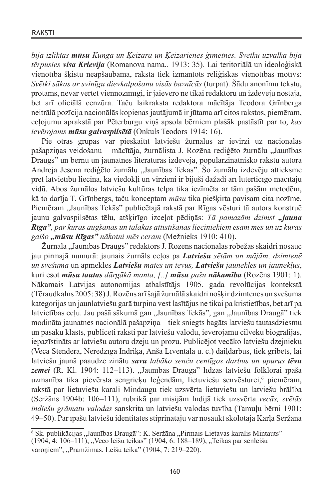*bija izliktas mūsu Kunga un Ķeizara un Ķeizarienes ģīmetnes. Svētku uzvalkā bija tērpusies visa Krievija* (Romanova nama.. 1913: 35)*.* Lai teritoriālā un ideoloģiskā vienotība šķistu neapšaubāma, rakstā tiek izmantots reliģiskās vienotības motīvs: *Svētki sākas ar svinīgu dievkalpošanu visās baznīcās* (turpat). Šādu anonīmu tekstu, protams, nevar vērtēt viennozīmīgi, ir jāievēro ne tikai redaktoru un izdevēju nostāja, bet arī oficiālā cenzūra. Taču laikraksta redaktora mācītāja Teodora Grīnberga neitrālā pozīcija nacionālās kopienas jautājumā ir jūtama arī citos rakstos, piemēram, ceļojumu aprakstā par Pēterburgu viņš apsola bērniem plašāk pastāstīt par to, *kas ievērojams mūsu galvaspilsētā* (Onkuls Teodors 1914: 16).

Pie otras grupas var pieskaitīt latviešu žurnālus ar ievirzi uz nacionālās pašapziņas veidošanu – mācītāja, žurnālista J. Rozēna rediģēto žurnālu "Jaunības Draugs" un bērnu un jaunatnes literatūras izdevēja, populārzinātnisko rakstu autora Andreja Jesena rediģēto žurnālu "Jaunības Tekas". Šo žurnālu izdevēju attieksme pret latvietību liecina, ka viedokļi un virzieni ir bijuši dažādi arī luterticīgo mācītāju vidū. Abos žurnālos latviešu kultūras telpa tika iezīmēta ar tām pašām metodēm, kā to darīja T. Grīnbergs, taču konceptam *mūsu* tika piešķirta pavisam cita nozīme. Piemēram "Jaunības Tekās" publicētajā rakstā par Rīgas vēsturi tā autors konstruē jaunu galvaspilsētas tēlu, atšķirīgo izceļot pēdiņās: *Tā pamazām dzimst "jauna Rīga", par kuras augšanas un tālākas attīstīšanas lieciniekiem esam mēs un uz kuras gaišo "mūsu Rīgas" nākotni mēs ceram* (Mežnieks 1910: 410).

Žurnāla "Jaunības Draugs" redaktors J. Rozēns nacionālās robežas skaidri nosauc jau pirmajā numurā: jaunais žurnāls ceļos pa *Latviešu sētām un mājām, dzimtenē un svešumā* un apmeklēs *Latviešu mātes un tēvus, Latviešu jaunekles un jaunekļus*, kuri esot *mūsu tautas dārgākā manta, [..] mūsu pašu nākamība* (Rozēns 1901: 1). Nākamais Latvijas autonomijas atbalstītājs 1905. gada revolūcijas kontekstā (Tēraudkalns 2005: 38) J.Rozēns arī šajā žurnālā skaidri nošķir dzimtenes un svešuma kategorijas un jaunlatviešu garā turpina vest lasītājus ne tikai pa kristietības, bet arī pa latvietības ceļu. Jau pašā sākumā gan "Jaunības Tekās", gan "Jaunības Draugā" tiek modināta jaunatnes nacionālā pašapziņa – tiek sniegts bagāts latviešu tautasdziesmu un pasaku klāsts, publicēti raksti par latviešu valodu, ievērojamu cilvēku biogrāfijas, iepazīstināts ar latviešu autoru dzeju un prozu. Publicējot vecāko latviešu dzejnieku (Vecā Stendera, Neredzīgā Indriķa, Anša Līventāla u. c.) daiļdarbus, tiek gribēts, lai latviešu jaunā paaudze zinātu *savu labāko senču centīgos darbus un upurus tēvu*  zemei (R. Kl. 1904: 112-113). "Jaunības Draugā" līdzās latviešu folklorai īpaša uzmanība tika pievērsta sengrieķu leģendām, lietuviešu senvēsturei,<sup>6</sup> piemēram, rakstā par lietuviešu karali Mindaugu tiek uzsvērta lietuviešu un latviešu brālība (Seržāns 1904b: 106–111), rubrikā par misijām Indijā tiek uzsvērta *vecās, svētās indiešu grāmatu valodas* sanskrita un latviešu valodas tuvība (Tamuļu bērni 1901: 49–50). Par īpašu latviešu identitātes stiprinātāju var nosaukt skolotāja Kārļa Seržāna

<sup>&</sup>lt;sup>6</sup> Sk. publikācijas "Jaunības Draugā": K. Seržāna "Pirmais Lietavas karalis Mintauts" (1904, 4: 106–111), "Veco leišu teikas" (1904, 6: 188–189), "Teikas par senleišu

varoņiem", "Pramžimas. Leišu teika" (1904, 7: 219–220).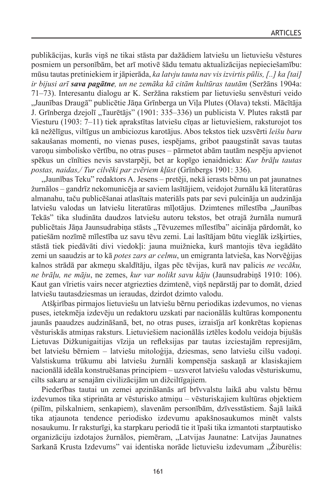publikācijas, kurās viņš ne tikai stāsta par dažādiem latviešu un lietuviešu vēstures posmiem un personībām, bet arī motivē šādu tematu aktualizācijas nepieciešamību: mūsu tautas pretiniekiem ir jāpierāda, *ka latvju tauta nav vis izvirtis pūlis,[..] ka [tai] ir bijusi arī sava pagātne, un ne zemāka kā citām kultūras tautām* (Seržāns 1904a: 71–73). Interesantu dialogu ar K. Seržāna rakstiem par lietuviešu senvēsturi veido "Jaunības Draugā" publicētie Jāņa Grīnberga un Viļa Plutes (Olava) teksti. Mācītāja J. Grīnberga dzejolī "Taurētājs" (1901: 335–336) un publicista V. Plutes rakstā par Viesturu (1903: 7–11) tiek aprakstītas latviešu cīņas ar lietuviešiem, raksturojot tos kā nežēlīgus, viltīgus un ambiciozus karotājus. Abos tekstos tiek uzsvērti *leišu baru* sakaušanas momenti, no vienas puses, iespējams, gribot paaugstināt savas tautas varoņu simbolisko vērtību, no otras puses – pārmetot abām tautām nespēju apvienot spēkus un cīnīties nevis savstarpēji, bet ar kopīgo ienaidnieku: *Kur brāļu tautas postas, naidas,/ Tur cilvēki par zvēriem kļūst* (Grīnbergs 1901: 336).

"Jaunības Teku" redaktors A. Jesens – pretēji, nekā ierasts bērnu un pat jaunatnes žurnālos – gandrīz nekomunicēja ar saviem lasītājiem, veidojot žurnālu kā literatūras almanahu, taču publicēšanai atlasītais materiāls pats par sevi pulcināja un audzināja latviešu valodas un latviešu literatūras mīlotājus. Dzimtenes mīlestība "Jaunības Tekās" tika sludināta daudzos latviešu autoru tekstos, bet otrajā žurnāla numurā publicētais Jāņa Jaunsudrabiņa stāsts "Tēvuzemes mīlestība" aicināja pārdomāt, ko patiešām nozīmē mīlestība uz savu tēvu zemi. Lai lasītājam būtu vieglāk izšķirties, stāstā tiek piedāvāti divi viedokļi: jauna muižnieka, kurš mantojis tēva iegādāto zemi un saaudzis ar to kā *potes zars ar celmu*, un emigranta latvieša, kas Norvēģijas kalnos strādā par akmeņu skaldītāju, ilgas pēc tēvijas, kurā nav palicis *ne vecāku, ne brāļu, ne māju*, ne zemes, *kur var nolikt savu kāju* (Jaunsudrabiņš 1910: 106). Kaut gan vīrietis vairs necer atgriezties dzimtenē, viņš nepārstāj par to domāt, dzied latviešu tautasdziesmas un ieraudas, dzirdot dzimto valodu.

Atšķirības pirmajos lietuviešu un latviešu bērnu periodikas izdevumos, no vienas puses, ietekmēja izdevēju un redaktoru uzskati par nacionālās kultūras komponentu jaunās paaudzes audzināšanā, bet, no otras puses, izraisīja arī konkrētas kopienas vēsturiskās atmiņas raksturs. Lietuviešiem nacionālās iztēles kodolu veidoja bijušās Lietuvas Dižkunigaitijas vīzija un refleksijas par tautas izciestajām represijām, bet latviešu bērniem – latviešu mitoloģija, dziesmas, seno latviešu cilšu vadoņi. Valstiskuma trūkumu abi latviešu žurnāli kompensēja saskaņā ar klasiskajiem nacionālā ideāla konstruēšanas principiem – uzsverot latviešu valodas vēsturiskumu, cilts sakaru ar senajām civilizācijām un dižciltīgajiem.

Piederības tautai un zemei apzināšanās arī brīvvalstu laikā abu valstu bērnu izdevumos tika stiprināta ar vēsturisko atmiņu – vēsturiskajiem kultūras objektiem (pilīm, pilskalniem, senkapiem), slavenām personībām, dzīvesstāstiem. Šajā laikā tika atjaunota tendence periodisko izdevumu apakšnosaukumos minēt valsts nosaukumu. Ir raksturīgi, ka starpkaru periodā tie it īpaši tika izmantoti starptautisko organizāciju izdotajos žurnālos, piemēram, "Latvijas Jaunatne: Latvijas Jaunatnes Sarkanā Krusta Izdevums" vai identiska norāde lietuviešu izdevumam "Žiburėlis: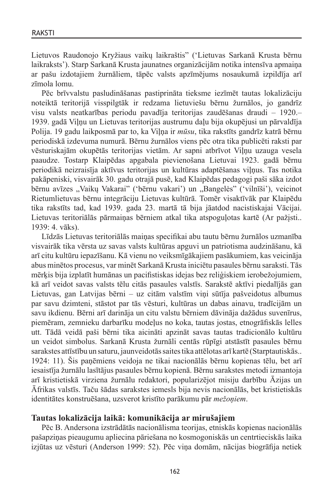Lietuvos Raudonojo Kryžiaus vaikų laikraštis" ('Lietuvas Sarkanā Krusta bērnu laikraksts'). Starp Sarkanā Krusta jaunatnes organizācijām notika intensīva apmaiņa ar pašu izdotajiem žurnāliem, tāpēc valsts apzīmējums nosaukumā izpildīja arī zīmola lomu.

Pēc brīvvalstu pasludināšanas pastiprināta tieksme iezīmēt tautas lokalizāciju noteiktā teritorijā visspilgtāk ir redzama lietuviešu bērnu žurnālos, jo gandrīz visu valsts neatkarības periodu pavadīja teritorijas zaudēšanas draudi – 1920.– 1939. gadā Viļņu un Lietuvas teritorijas austrumu daļu bija okupējusi un pārvaldīja Polija. 19 gadu laikposmā par to, ka Viļņa ir *mūsu*, tika rakstīts gandrīz katrā bērnu periodiskā izdevuma numurā. Bērnu žurnālos viens pēc otra tika publicēti raksti par vēsturiskajām okupētās teritorijas vietām. Ar sapni atbrīvot Viļņu uzauga vesela paaudze. Tostarp Klaipēdas apgabala pievienošana Lietuvai 1923. gadā bērnu periodikā neizraisīja aktīvus teritorijas un kultūras adaptēšanas vilnus. Tas notika pakāpeniski, visvairāk 30. gadu otrajā pusē, kad Klaipēdas pedagogi paši sāka izdot bērnu avīzes "Vaikų Vakarai" ('bērnu vakari') un "Bangelės" ('vilnīši'), veicinot Rietumlietuvas bērnu integrāciju Lietuvas kultūrā. Tomēr visaktīvāk par Klaipēdu tika rakstīts tad, kad 1939. gada 23. martā tā bija jāatdod nacistiskajai Vācijai. Lietuvas teritoriālās pārmaiņas bērniem atkal tika atspoguļotas kartē (Ar pažįsti.. 1939: 4. vāks).

Līdzās Lietuvas teritoriālās maiņas specifikai abu tautu bērnu žurnālos uzmanība visvairāk tika vērsta uz savas valsts kultūras apguvi un patriotisma audzināšanu, kā arī citu kultūru iepazīšanu. Kā vienu no veiksmīgākajiem pasākumiem, kas veicināja abus minētos procesus, var minēt Sarkanā Krusta iniciētu pasaules bērnu saraksti. Tās mērķis bija izplatīt humānas un pacifistiskas idejas bez reliģiskiem ierobežojumiem, kā arī veidot savas valsts tēlu citās pasaules valstīs. Sarakstē aktīvi piedalījās gan Lietuvas, gan Latvijas bērni – uz citām valstīm viņi sūtīja pašveidotus albumus par savu dzimteni, stāstot par tās vēsturi, kultūras un dabas ainavu, tradīcijām un savu ikdienu. Bērni arī darināja un citu valstu bērniem dāvināja dažādus suvenīrus, piemēram, zemnieku darbarīku modeļus no koka, tautas jostas, etnogrāfiskās lelles utt. Tādā veidā paši bērni tika aicināti apzināt savas tautas tradicionālo kultūru un veidot simbolus. Sarkanā Krusta žurnāli centās rūpīgi atstāstīt pasaules bērnu sarakstes attīstību un saturu, jaunveidotās saites tika attēlotas arī kartē (Starptautiskās.. 1924: 11). Šis paņēmiens veidoja ne tikai nacionālās bērnu kopienas tēlu, bet arī iesaistīja žurnālu lasītājus pasaules bērnu kopienā. Bērnu sarakstes metodi izmantoja arī kristietiskā virziena žurnālu redaktori, popularizējot misiju darbību Āzijas un Āfrikas valstīs. Taču šādas sarakstes iemesls bija nevis nacionālās, bet kristietiskās identitātes konstruēšana, uzsverot kristīto parākumu pār *mežoņiem*.

## **Tautas lokalizācija laikā: komunikācija ar mirušajiem**

Pēc B. Andersona izstrādātās nacionālisma teorijas, etniskās kopienas nacionālās pašapziņas pieaugumu apliecina pāriešana no kosmogoniskās un centrtieciskās laika izjūtas uz vēsturi (Anderson 1999: 52). Pēc viņa domām, nācijas biogrāfija netiek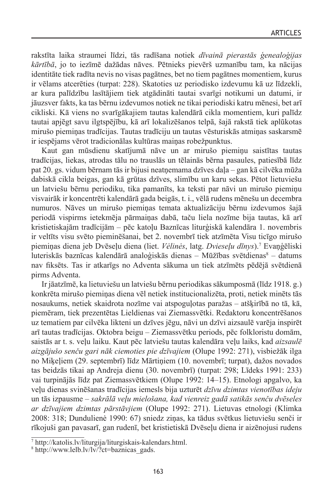rakstīta laika straumei līdzi, tās radīšana notiek *dīvainā pierastās ģenealoģijas kārtībā*, jo to iezīmē dažādas nāves. Pētnieks pievērš uzmanību tam, ka nācijas identitāte tiek radīta nevis no visas pagātnes, bet no tiem pagātnes momentiem, kurus ir vēlams atcerēties (turpat: 228). Skatoties uz periodisko izdevumu kā uz līdzekli, ar kura palīdzību lasītājiem tiek atgādināti tautai svarīgi notikumi un datumi, ir jāuzsver fakts, ka tas bērnu izdevumos notiek ne tikai periodiski katru mēnesi, bet arī cikliski. Kā viens no svarīgākajiem tautas kalendārā cikla momentiem, kuri palīdz tautai apjēgt savu ilgtspējību, kā arī lokalizēšanos telpā, šajā rakstā tiek aplūkotas mirušo piemiņas tradīcijas. Tautas tradīciju un tautas vēsturiskās atmiņas saskarsmē ir iespējams vērot tradicionālas kultūras maiņas robežpunktus.

Kaut gan mūsdienu skatījumā nāve un ar mirušo piemiņu saistītas tautas tradīcijas, liekas, atrodas tālu no trauslās un tēlainās bērna pasaules, patiesībā līdz pat 20. gs. vidum bērnam tās ir bijusi neatņemama dzīves daļa – gan kā cilvēka mūža dabiskā cikla beigas, gan kā grūtas dzīves, slimību un karu sekas. Pētot lietuviešu un latviešu bērnu periodiku, tika pamanīts, ka teksti par nāvi un mirušo piemiņu visvairāk ir koncentrēti kalendārā gada beigās, t. i., vēlā rudens mēnešu un decembra numuros. Nāves un mirušo piemiņas temata aktualizāciju bērnu izdevumos šajā periodā vispirms ietekmēja pārmaiņas dabā, taču liela nozīme bija tautas, kā arī kristietiskajām tradīcijām – pēc katoļu Baznīcas liturģiskā kalendāra 1. novembris ir veltīts visu svēto pieminēšanai, bet 2. novembrī tiek atzīmēta Visu ticīgo mirušo piemiņas diena jeb Dvēseļu diena (liet. *Vėlinės*, latg. *Dvieseļu dīnys*).7 Evaņģēliski luteriskās baznīcas kalendārā analoģiskās dienas  $-$  Mūžības svētdienas<sup>8</sup>  $-$  datums nav fiksēts. Tas ir atkarīgs no Adventa sākuma un tiek atzīmēts pēdējā svētdienā pirms Adventa.

Ir jāatzīmē, ka lietuviešu un latviešu bērnu periodikas sākumposmā (līdz 1918. g.) konkrēta mirušo piemiņas diena vēl netiek institucionalizēta, proti, netiek minēts tās nosaukums, netiek skaidrota nozīme vai atspoguļotas paražas – atšķirībā no tā, kā, piemēram, tiek prezentētas Lieldienas vai Ziemassvētki. Redaktoru koncentrēšanos uz tematiem par cilvēka likteni un dzīves jēgu, nāvi un dzīvi aizsaulē varēja inspirēt arī tautas tradīcijas. Oktobra beigu – Ziemassvētku periods, pēc folkloristu domām, saistās ar t. s. veļu laiku. Kaut pēc latviešu tautas kalendāra veļu laiks, kad *aizsaulē aizgājušo senču gari nāk ciemoties pie dzīvajiem* (Olupe 1992: 271), visbiežāk ilga no Miķeļiem (29. septembrī) līdz Mārtiņiem (10. novembrī; turpat), dažos novados tas beidzās tikai ap Andreja dienu (30. novembrī) (turpat: 298; Līdeks 1991: 233) vai turpinājās līdz pat Ziemassvētkiem (Olupe 1992: 14–15). Etnologi apgalvo, ka veļu dienas svinēšanas tradīcijas iemesls bija uzturēt *dzīvu dzimtas vienotības ideju* un tās izpausme – *sakrālā veļu mielošana, kad vienreiz gadā satikās senču dvēseles ar dzīvajiem dzimtas pārstāvjiem* (Olupe 1992: 271). Lietuvas etnologi (Klimka 2008: 318; Dundulienė 1990: 67) sniedz ziņas, ka tādus svētkus lietuviešu senči ir rīkojuši gan pavasarī, gan rudenī, bet kristietiskā Dvēseļu diena ir aizēnojusi rudens

<sup>7</sup> http://katolis.lv/liturgija/liturgiskais-kalendars.html.

<sup>&</sup>lt;sup>8</sup> http://www.lelb.lv/lv/?ct=baznicas\_gads.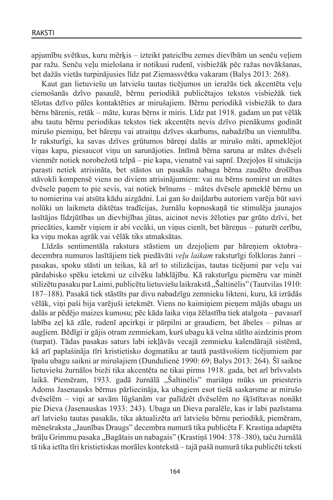apjumību svētkus, kuru mērķis – izteikt pateicību zemes dievībām un senču veļiem par ražu. Senču veļu mielošana ir notikusi rudenī, visbiežāk pēc ražas novākšanas, bet dažās vietās turpinājusies līdz pat Ziemassvētku vakaram (Balys 2013: 268).

Kaut gan lietuviešu un latviešu tautas ticējumos un ieražās tiek akcentēta veļu ciemošanās dzīvo pasaulē, bērnu periodikā publicētajos tekstos visbiežāk tiek tēlotas dzīvo pūles kontaktēties ar mirušajiem. Bērnu periodikā visbiežāk to dara bērns bārenis, retāk – māte, kuras bērns ir miris. Līdz pat 1918. gadam un pat vēlāk abu tautu bērnu periodikas tekstos tiek akcentēts nevis dzīvo pienākums godināt mirušo piemiņu, bet bāreņu vai atraitņu dzīves skarbums, nabadzība un vientulība. Ir raksturīgi, ka savas dzīves grūtumos bāreņi dalās ar mirušo māti, apmeklējot viņas kapu, piesaucot viņu un sarunājoties. Intīmā bērna saruna ar mātes dvēseli vienmēr notiek norobežotā telpā – pie kapa, vienatnē vai sapnī. Dzejoļos šī situācija parasti netiek atrisināta, bet stāstos un pasakās nabaga bērna zaudēto drošības stāvokli kompensē viens no diviem atrisinājumiem: vai nu bērns nomirst un mātes dvēsele paņem to pie sevis, vai notiek brīnums – mātes dvēsele apmeklē bērnu un to nomierina vai atsūta kādu aizgādni. Lai gan šo daiļdarbu autoriem varēja būt savi nolūki un laikmeta diktētas tradīcijas, žurnālu kopnoskaņā tie stimulēja jaunajos lasītājos līdzjūtības un dievbijības jūtas, aicinot nevis žēloties par grūto dzīvi, bet priecāties, kamēr viņiem ir abi vecāki, un viņus cienīt, bet bāreņus – paturēt cerību, ka viņu mokas agrāk vai vēlāk tiks atmaksātas.

Līdzās sentimentāla rakstura stāstiem un dzejoļiem par bāreņiem oktobra– decembra numuros lasītājiem tiek piedāvāti *veļu laikam* raksturīgi folkloras žanri – pasakas, spoku stāsti un teikas, kā arī to stilizācijas, tautas ticējumi par veļu vai pārdabisko spēku ietekmi uz cilvēku labklājību. Kā raksturīgu piemēru var minēt stilizētu pasaku par Laimi, publicētu lietuviešu laikrakstā "Šaltinėlis" (Tautvilas 1910: 187–188). Pasakā tiek stāstīts par divu nabadzīgu zemnieku likteni, kuru, kā izrādās vēlāk, viņi paši bija varējuši ietekmēt. Viens no kaimiņiem pieņem mājās ubagu un dalās ar pēdējo maizes kumosu; pēc kāda laika viņa žēlastība tiek atalgota – pavasarī labība zeļ kā zāle, rudenī apcirkņi ir pārpilni ar graudiem, bet ābeles – pilnas ar augļiem. Bēdīgi ir gājis otram zemniekam, kurš ubagu kā velna sūtīto aizdzinis prom (turpat). Tādas pasakas saturs labi iekļāvās vecajā zemnieku kalendārajā sistēmā, kā arī paplašināja tīri kristietisko dogmatiku ar tautā pastāvošiem ticējumiem par īpašu ubagu saikni ar mirušajiem (Dundulienė 1990: 69; Balys 2013: 264). Šī saikne lietuviešu žurnālos bieži tika akcentēta ne tikai pirms 1918. gada, bet arī brīvvalsts laikā. Piemēram, 1933. gadā žurnālā "Šaltinėlis" mariāņu mūks un priesteris Adoms Jasenausks bērnus pārliecināja, ka ubagiem esot tiešā saskarsme ar mirušo dvēselēm – viņi ar savām lūgšanām var palīdzēt dvēselēm no šķīstītavas nonākt pie Dieva (Jasenauskas 1933: 243). Ubaga un Dieva paralēle, kas ir labi pazīstama arī latviešu tautas pasakās, tika aktualizēta arī latviešu bērnu periodikā, piemēram, mēnešraksta "Jaunības Draugs" decembra numurā tika publicēta F. Krastiņa adaptēta brāļu Grimmu pasaka "Bagātais un nabagais" (Krastiņš 1904: 378–380), taču žurnālā tā tika ietīta tīri kristietiskas morāles kontekstā – tajā pašā numurā tika publicēti teksti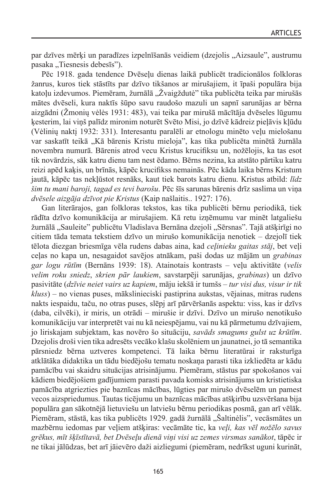par dzīves mērķi un paradīzes izpelnīšanās veidiem (dzejolis "Aizsaule", austrumu pasaka "Tiesnesis debesīs").

Pēc 1918. gada tendence Dvēseļu dienas laikā publicēt tradicionālos folkloras žanrus, kuros tiek stāstīts par dzīvo tikšanos ar mirušajiem, it īpaši populāra bija katoļu izdevumos. Piemēram, žurnālā "Žvaigždutė" tika publicēta teika par mirušās mātes dvēseli, kura naktīs šūpo savu raudošo mazuli un sapnī sarunājas ar bērna aizgādni (Žmonių vėlės 1931: 483), vai teika par mirušā mācītāja dvēseles lūgumu ķesterim, lai viņš palīdz mironim noturēt Svēto Misi, jo dzīvē kādreiz pieļāvis kļūdu (Vėlinių naktį 1932: 331). Interesantu paralēli ar etnologu minēto veļu mielošanu var saskatīt teikā "Kā bārenis Kristu mieloja", kas tika publicēta minētā žurnāla novembra numurā. Bārenis atrod vecu Kristus krucifiksu un, nožēlojis, ka tas esot tik novārdzis, sāk katru dienu tam nest ēdamo. Bērns nezina, ka atstāto pārtiku katru reizi apēd kaķis, un brīnās, kāpēc krucifikss nemainās. Pēc kāda laika bērns Kristum jautā, kāpēc tas nekļūstot resnāks, kaut tiek barots katru dienu. Kristus atbild: *līdz šim tu mani baroji, tagad es tevi barošu*. Pēc šīs sarunas bārenis drīz saslima un viņa *dvēsele aizgāja dzīvot pie Kristus* (Kaip našlaitis.. 1927: 176).

Gan literārajos, gan folkloras tekstos, kas tika publicēti bērnu periodikā, tiek rādīta dzīvo komunikācija ar mirušajiem. Kā retu izņēmumu var minēt latgaliešu žurnālā "Sauleite" publicētu Vladislava Bernāna dzejoli "Sērsnas". Tajā atšķirīgi no citiem tāda temata tekstiem dzīvo un mirušo komunikācija nenotiek – dzejolī tiek tēlota diezgan briesmīga vēla rudens dabas aina, kad *ceļinieku gaitas stāj*, bet veļi ceļas no kapa un, nesagaidot savējos atnākam, paši dodas uz mājām un *grabinas gar logu rūtīm* (Bernāns 1939: 18). Atainotais kontrasts – veļu aktivitāte (*velis velim roku sniedz*, *skrien pār laukiem*, savstarpēji sarunājas, *grabinas*) un dzīvo pasivitāte (*dzīvie neiet vairs uz kapiem*, māju iekšā ir tumšs *– tur visi dus, visur ir tik kluss*) – no vienas puses, mākslinieciski pastiprina aukstas, vējainas, mitras rudens nakts iespaidu, taču, no otras puses, slēpj arī pārvēršanās aspektu: viss, kas ir dzīvs (daba, cilvēki), ir miris, un otrādi – mirušie ir dzīvi. Dzīvo un mirušo nenotikušo komunikāciju var interpretēt vai nu kā neiespējamu, vai nu kā pārmetumu dzīvajiem, jo liriskajam subjektam, kas novēro šo situāciju, *savāds smagums gulst uz krūtīm*. Dzejolis droši vien tika adresēts vecāko klašu skolēniem un jaunatnei, jo tā semantika pārsniedz bērna uztveres kompetenci. Tā laika bērnu literatūrai ir raksturīga atklātāka didaktika un tādu biedējošu tematu noskaņa parasti tika izkliedēta ar kādu pamācību vai skaidru situācijas atrisinājumu. Piemēram, stāstus par spokošanos vai kādiem biedējošiem gadījumiem parasti pavada komisks atrisinājums un kristietiska pamācība atgriezties pie baznīcas mācības, lūgties par mirušo dvēselēm un pamest vecos aizspriedumus. Tautas ticējumu un baznīcas mācības atšķirību uzsvēršana bija populāra gan sākotnējā lietuviešu un latviešu bērnu periodikas posmā, gan arī vēlāk. Piemēram, stāstā, kas tika publicēts 1929. gadā žurnālā "Šaltinėlis", vecāsmātes un mazbērnu iedomas par veļiem atšķiras: vecāmāte tic, ka *veļi, kas vēl nožēlo savus grēkus, mīt šķīstītavā, bet Dvēseļu dienā viņi visi uz zemes virsmas sanākot*, tāpēc ir ne tikai jālūdzas, bet arī jāievēro daži aizliegumi (piemēram, nedrīkst uguni kurināt,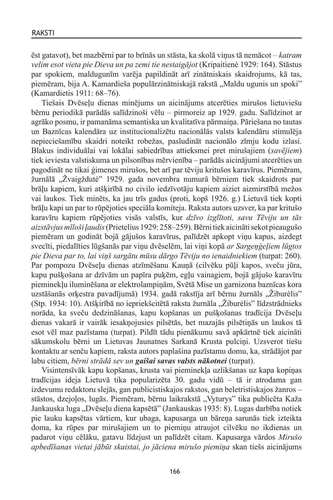ēst gatavot), bet mazbērni par to brīnās un stāsta, ka skolā viņus tā nemācot – *katram velim esot vieta pie Dieva un pa zemi tie nestaigājot* (Kripaitienė 1929: 164). Stāstus par spokiem, maldugunīm varēja papildināt arī zinātniskais skaidrojums, kā tas, piemēram, bija A. Kamardieša populārzinātniskajā rakstā "Maldu ugunis un spoki" (Kamardietis 1911: 68–76).

Tiešais Dvēseļu dienas minējums un aicinājums atcerēties mirušos lietuviešu bērnu periodikā parādās salīdzinoši vēlu – pirmoreiz ap 1929. gadu. Salīdzinot ar agrāko posmu, ir pamanāma semantiska un kvalitatīva pārmaiņa. Pāriešana no tautas un Baznīcas kalendāra uz institucionalizētu nacionālās valsts kalendāru stimulēja nepieciešamību skaidri noteikt robežas, pasludināt nacionālo zīmju kodu izlasi. Blakus individuālai vai lokālai sabiedrības attieksmei pret mirušajiem (*savējiem*) tiek ieviesta valstiskuma un pilsonības mērvienība – parādās aicinājumi atcerēties un pagodināt ne tikai ģimenes mirušos, bet arī par tēviju kritušos karavīrus. Piemēram, žurnālā "Žvaigždutė" 1929. gada novembra numurā bērniem tiek skaidrots par brāļu kapiem, kuri atšķirībā no civilo iedzīvotāju kapiem aiziet aizmirstībā mežos vai laukos. Tiek minēts, ka jau trīs gadus (proti, kopš 1926. g.) Lietuvā tiek kopti brāļu kapi un par to rūpējoties speciāla komiteja. Raksta autors uzsver, ka par kritušo karavīru kapiem rūpējoties visās valstīs, kur *dzīvo izglītoti, savu Tēviju un tās aizstāvjus mīloši ļaudis* (Prietelius 1929: 258–259). Bērni tiek aicināti sekot pieaugušo piemēram un godināt bojā gājušos karavīrus, palīdzēt apkopt viņu kapus, aizdegt svecīti, piedalīties lūgšanās par viņu dvēselēm, lai viņi kopā *ar Sargeņģeļiem lūgtos pie Dieva par to, lai viņš sargātu mūsu dārgo Tēviju no ienaidniekiem* (turpat: 260). Par pompozu Dvēseļu dienas atzīmēšanu Kauņā (cilvēku pūļi kapos, sveču jūra, kapu pušķošana ar dzīvām un papīra puķēm, egļu vainagiem, bojā gājušo karavīru pieminekļu iluminēšana ar elektrolampiņām, Svētā Mise un garnizona baznīcas kora uzstāšanās orķestra pavadījumā) 1934. gadā rakstīja arī bērnu žurnāls "Žiburėlis" (Stp. 1934: 10). Atšķirībā no iepriekšcitētā raksta žurnāla "Žiburėlis" līdzstrādnieks norāda, ka sveču dedzināšanas, kapu kopšanas un pušķošanas tradīcija Dvēseļu dienas vakarā ir vairāk iesakņojusies pilsētās, bet mazajās pilsētiņās un laukos tā esot vēl maz pazīstama (turpat). Pildīt tādu pienākumu savā apkārtnē tiek aicināti sākumskolu bērni un Lietuvas Jaunatnes Sarkanā Krusta pulciņi. Uzsverot tiešu kontaktu ar senču kapiem, raksta autors paplašina pazīstamu domu, ka, strādājot par labu citiem, *bērni strādā sev un gaišai savas valsts nākotnei* (turpat).

Visintensīvāk kapu kopšanas, krusta vai pieminekļa uzlikšanas uz kapa kopiņas tradīcijas ideja Lietuvā tika popularizēta 30. gadu vidū – tā ir atrodama gan izdevumu redaktoru slejās, gan publicistiskajos rakstos, gan beletristiskajos žanros – stāstos, dzejoļos, lugās. Piemēram, bērnu laikrakstā "Vyturys" tika publicēta Kaža Jankauska luga "Dvēseļu diena kapsētā" (Jankauskas 1935: 8). Lugas darbība notiek pie lauku kapsētas vārtiem, kur ubaga, kapusarga un bāreņa sarunās tiek izteikta doma, ka rūpes par mirušajiem un to piemiņu atraujot cilvēku no ikdienas un padarot viņu cēlāku, gatavu līdzjust un palīdzēt citam. Kapusarga vārdos *Mirušo apbedīšanas vietai jābūt skaistai, jo jāciena mirušo piemiņa* skan tiešs aicinājums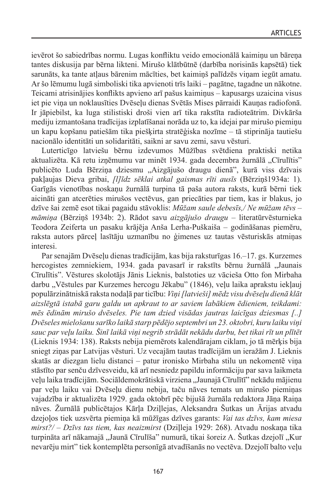ievērot šo sabiedrības normu. Lugas konfliktu veido emocionālā kaimiņu un bāreņa tantes diskusija par bērna likteni. Mirušo klātbūtnē (darbība norisinās kapsētā) tiek sarunāts, ka tante atļaus bārenim mācīties, bet kaimiņš palīdzēs viņam iegūt amatu. Ar šo lēmumu lugā simboliski tika apvienoti trīs laiki – pagātne, tagadne un nākotne. Teicami atrisinājies konflikts apvieno arī pašus kaimiņus – kapusargs uzaicina visus iet pie viņa un noklausīties Dvēseļu dienas Svētās Mises pārraidi Kauņas radiofonā. Ir jāpiebilst, ka luga stilistiski droši vien arī tika rakstīta radioteātrim. Divkārša mediju izmantošana tradīcijas izplatīšanai norāda uz to, ka idejai par mirušo piemiņu un kapu kopšanu patiešām tika piešķirta stratēģiska nozīme – tā stiprināja tautiešu nacionālo identitāti un solidaritāti, saikni ar savu zemi, savu vēsturi.

Luterticīgo latviešu bērnu izdevumos Mūžības svētdiena praktiski netika aktualizēta. Kā retu izņēmumu var minēt 1934. gada decembra žurnālā "Cīrulītis" publicēto Luda Bērzina dziesmu "Aizgājušo draugu dienā", kurā viss dzīvais pakļaujas Dieva gribai, *[l]īdz sēklai atkal gaismas rīti ausīs* (Bērziņš1934a: 1). Garīgās vienotības noskaņu žurnālā turpina tā paša autora raksts, kurā bērni tiek aicināti gan atcerēties mirušos vectēvus, gan priecāties par tiem, kas ir blakus, jo dzīve šai zemē esot tikai pagaidu stāvoklis: *Mūžam saule debesīs,/ Ne mūžam tēvs – māmiņa* (Bērziņš 1934b: 2). Rādot savu *aizgājušo draugu* – literatūrvēsturnieka Teodora Zeiferta un pasaku krājēja Anša Lerha-Puškaiša – godināšanas piemēru, raksta autors pārceļ lasītāju uzmanību no ģimenes uz tautas vēsturiskās atmiņas interesi.

Par senajām Dvēseļu dienas tradīcijām, kas bija raksturīgas 16.–17. gs. Kurzemes hercogistes zemniekiem, 1934. gada pavasarī ir rakstīts bērnu žurnālā "Jaunais Cīrulītis". Vēstures skolotājs Jānis Lieknis, balstoties uz vācieša Otto fon Mirbaha darbu "Vēstules par Kurzemes hercogu Jēkabu" (1846), veļu laika aprakstu iekļauj populārzinātniskā raksta nodaļā par ticību: *Viņi [latvieši] mēdz visu dvēseļu dienā klāt aizslēgtā istabā garu galdu un apkraut to ar saviem labākiem ēdieniem, teikdami: mēs ēdinām mirušo dvēseles. Pie tam dzied visādas jautras laicīgas dziesmas [..] Dvēseles mielošanu sarīko laikā starp pēdējo septembri un 23. oktobri, kuru laiku viņi sauc par veļu laiku. Šinī laikā viņi negrib strādāt nekādu darbu, bet tikai rīt un plītēt*  (Lieknis 1934: 138). Raksts nebija piemērots kalendārajam ciklam, jo tā mērķis bija sniegt ziņas par Latvijas vēsturi. Uz vecajām tautas tradīcijām un ieražām J. Lieknis skatās ar diezgan lielu distanci – patur ironisko Mirbaha stilu un nekomentē viņa stāstīto par senču dzīvesveidu, kā arī nesniedz papildu informāciju par sava laikmeta veļu laika tradīcijām. Sociāldemokrātiskā virziena "Jaunajā Cīrulītī" nekādu mājienu par veļu laiku vai Dvēseļu dienu nebija, taču nāves temats un mirušo piemiņas vajadzība ir aktualizēta 1929. gada oktobrī pēc bijušā žurnāla redaktora Jāņa Raiņa nāves. Žurnālā publicētajos Kārļa Dziļlejas, Aleksandra Šutkas un Ārijas atvadu dzejoļos tiek uzsvērta piemiņa kā mūžīgas dzīves garants: *Vai tas dzīvs, kam miesa mirst?/ – Dzīvs tas tiem, kas neaizmirst* (Dziļleja 1929: 268). Atvadu noskaņa tika turpināta arī nākamajā "Jaunā Cīrulīša" numurā, tikai šoreiz A. Šutkas dzejolī "Kur nevarēju mirt" tiek kontemplēta personīgā atvadīšanās no vectēva. Dzejolī balto veļu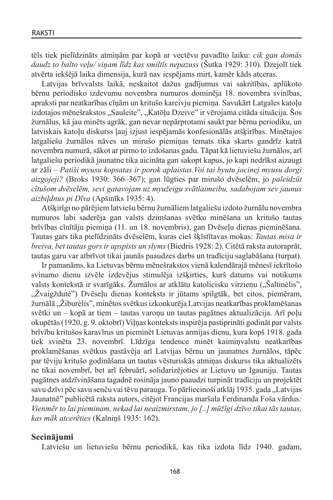tēls tiek pielīdzināts atmiņām par kopā ar vectēvu pavadīto laiku: *cik gan domās daudz to balto veļu/ viņam līdz kas smiltīs nepazuss* (Šutka 1929: 310). Dzejolī tiek atvērta iekšējā laika dimensija, kurā nav iespējams mirt, kamēr kāds atceras.

Latvijas brīvvalsts laikā, neskaitot dažus gadījumus vai sakritības, aplūkoto bērnu periodisko izdevumu novembra numuros dominēja 18. novembra svinības, apraksti par neatkarības cīņām un kritušo kareivju piemiņa. Savukārt Latgales katoļu izdotajos mēnešrakstos "Sauleite", "Katōļu Dzeive" ir vērojama citāda situācija. Šos žurnālus, kā jau minēts agrāk, gan nevar nepārprotami saukt par bērnu periodiku, un latviskais katoļu diskurss ļauj izjust iespējamās konfesionālās atšķirības. Minētajos latgaliešu žurnālos nāves un mirušo piemiņas temats tika skarts gandrīz katrā novembra numurā, sākot ar pirmo to izdošanas gadu. Tāpat kā lietuviešu žurnālos, arī latgaliešu periodikā jaunatne tika aicināta gan sakopt kapus, jo kapi nedrīkst aizaugt ar zāli – *Patiši myusu kopsatas ir porok aplaistas.Voi tai byutu jocinej myusu dorgi aizgojeji?* (Broks 1930: 366–367); gan lūgties par mirušo dvēselēm, jo *paleidzūt cītušom dvēselēm, sevi gatavojam uz myužeigu svātlaimeibu, sadabojam sev jaunus aizbiļdnus pi Dīva* (Apšinīks 1935: 4).

Atšķirīgi no pārējiem latviešu bērnu žurnāliem latgaliešu izdoto žurnālu novembra numuros labi saderēja gan valsts dzimšanas svētku minēšana un kritušo tautas brīvības cīnītāju piemiņa (11. un 18. novembris), gan Dvēseļu dienas pieminēšana. Tautas gars tika pielīdzināts dvēselēm, kuras cieš šķīstītavas mokas: *Tautas misa ir breiva, bet tautas gors ir apspists un slyms* (Biedris 1928: 2). Citētā raksta autoraprāt, tautas garu var atbrīvot tikai jaunās paaudzes darbs un tradīciju saglabāšana (turpat).

Ir pamanāms, ka Lietuvas bērnu mēnešrakstos vienā kalendārajā mēnesī iekrītošo svinamo dienu izvēle izdevējus stimulēja izšķirties, kurš datums vai notikums valsts kontekstā ir svarīgāks. Žurnālos ar atklātu katolicisku virzienu ("Šaltinėlis", "Žvaigždutė") Dvēseļu dienas konteksts ir jūtams spilgtāk, bet citos, piemēram, žurnālā "Žiburėlis", minētos svētkus izkonkurēja Latvijas neatkarības proklamēšanas svētki un – kopā ar tiem – tautas varoņu un tautas pagātnes aktualizācija. Arī poļu okupētās (1920. g. 9. oktobrī) Viļņas konteksts inspirēja pastiprināti godināt par valsts brīvību kritušos karavīrus un pieminēt Lietuvas armijas dienu, kura kopš 1918. gada tiek svinēta 23. novembrī. Līdzīga tendence minēt kaimiņvalstu neatkarības proklamēšanas svētkus pastāvēja arī Latvijas bērnu un jaunatnes žurnālos, tāpēc par tēviju kritušo godināšana un tautas vēsturiskās atmiņas diskurss tika aktualizēts ne tikai novembrī, bet arī februārī, solidarizējoties ar Lietuvu un Igauniju. Tautas pagātnes atdzīvināšana tagadnē rosināja jauno paaudzi turpināt tradīciju un projektēt savu dzīvi pēc savu senču vai tēvu parauga. To pārliecinoši atklāj 1935. gada "Latvijas Jaunatnē" publicētā raksta autors, citējot Francijas maršala Ferdinanda Foša vārdus*: Vienmēr to lai pieminam, nekad lai neaizmirstam, jo [..] mūžīgi dzīvo tikai tās tautas, kas māk atcerēties* (Kalniņš 1935: 162).

# **Secinājumi**

Latviešu un lietuviešu bērnu periodikā, kas tika izdota līdz 1940. gadam,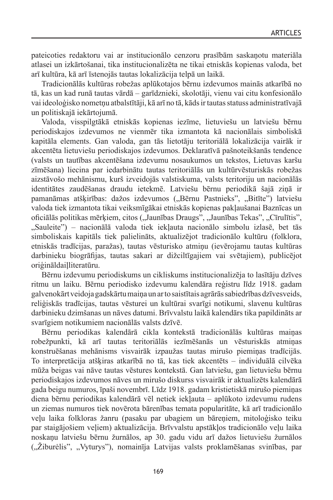pateicoties redaktoru vai ar institucionālo cenzoru prasībām saskaņotu materiāla atlasei un izkārtošanai, tika institucionalizēta ne tikai etniskās kopienas valoda, bet arī kultūra, kā arī īstenojās tautas lokalizācija telpā un laikā.

Tradicionālās kultūras robežas aplūkotajos bērnu izdevumos mainās atkarībā no tā, kas un kad runā tautas vārdā – garīdznieki, skolotāji, vienu vai citu konfesionālo vai ideoloģisko nometņu atbalstītāji, kā arī no tā, kāds ir tautas statuss administratīvajā un politiskajā iekārtojumā.

Valoda, visspilgtākā etniskās kopienas iezīme, lietuviešu un latviešu bērnu periodiskajos izdevumos ne vienmēr tika izmantota kā nacionālais simboliskā kapitāla elements. Gan valoda, gan tās lietotāju teritoriālā lokalizācija vairāk ir akcentēta lietuviešu periodiskajos izdevumos. Deklaratīvā pašnoteikšanās tendence (valsts un tautības akcentēšana izdevumu nosaukumos un tekstos, Lietuvas karšu zīmēšana) liecina par iedarbinātu tautas teritoriālās un kultūrvēsturiskās robežas aizstāvošo mehānismu, kurš izveidojās valstiskuma, valsts teritoriju un nacionālās identitātes zaudēšanas draudu ietekmē. Latviešu bērnu periodikā šajā ziņā ir pamanāmas atšķirības: dažos izdevumos ("Bērnu Pastnieks", "Bitīte") latviešu valoda tiek izmantota tikai veiksmīgākai etniskās kopienas pakļaušanai Baznīcas un oficiālās politikas mērķiem, citos ("Jaunības Draugs", "Jaunības Tekas", "Cīrulītis", "Sauleite") – nacionālā valoda tiek iekļauta nacionālo simbolu izlasē, bet tās simboliskais kapitāls tiek palielināts, aktualizējot tradicionālo kultūru (folklora, etniskās tradīcijas, paražas), tautas vēsturisko atmiņu (ievērojamu tautas kultūras darbinieku biogrāfijas, tautas sakari ar dižciltīgajiem vai svētajiem), publicējot oriģināldaiļliteratūru.

Bērnu izdevumu periodiskums un cikliskums institucionalizēja to lasītāju dzīves ritmu un laiku. Bērnu periodisko izdevumu kalendāra reģistru līdz 1918. gadam galvenokārt veidoja gadskārtu maiņa un ar to saistītais agrārās sabiedrības dzīvesveids, reliģiskās tradīcijas, tautas vēsturei un kultūrai svarīgi notikumi, slavenu kultūras darbinieku dzimšanas un nāves datumi. Brīvvalstu laikā kalendārs tika papildināts ar svarīgiem notikumiem nacionālās valsts dzīvē.

Bērnu periodikas kalendārā cikla kontekstā tradicionālās kultūras maiņas robežpunkti, kā arī tautas teritoriālās iezīmēšanās un vēsturiskās atmiņas konstruēšanas mehānisms visvairāk izpaužas tautas mirušo piemiņas tradīcijās. To interpretācija atšķiras atkarībā no tā, kas tiek akcentēts – individuālā cilvēka mūža beigas vai nāve tautas vēstures kontekstā. Gan latviešu, gan lietuviešu bērnu periodiskajos izdevumos nāves un mirušo diskurss visvairāk ir aktualizēts kalendārā gada beigu numuros, īpaši novembrī. Līdz 1918. gadam kristietiskā mirušo piemiņas diena bērnu periodikas kalendārā vēl netiek iekļauta – aplūkoto izdevumu rudens un ziemas numuros tiek novērota bārenības temata popularitāte, kā arī tradicionālo veļu laika folkloras žanru (pasaku par ubagiem un bāreņiem, mitoloģisko teiku par staigājošiem veļiem) aktualizācija. Brīvvalstu apstākļos tradicionālo veļu laika noskaņu latviešu bērnu žurnālos, ap 30. gadu vidu arī dažos lietuviešu žurnālos ("Žiburėlis", "Vyturys"), nomainīja Latvijas valsts proklamēšanas svinības, par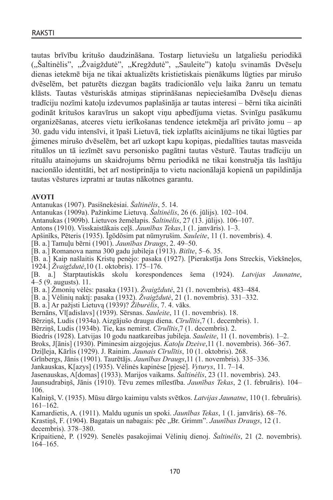tautas brīvību kritušo daudzināšana. Tostarp lietuviešu un latgaliešu periodikā ("Šaltinėlis", "Žvaigždutė", "Kregždutė", "Sauleite") katoļu svinamās Dvēseļu dienas ietekmē bija ne tikai aktualizēts kristietiskais pienākums lūgties par mirušo dvēselēm, bet paturēts diezgan bagāts tradicionālo veļu laika žanru un tematu klāsts. Tautas vēsturiskās atmiņas stiprināšanas nepieciešamība Dvēseļu dienas tradīciju nozīmi katoļu izdevumos paplašināja ar tautas interesi – bērni tika aicināti godināt kritušos karavīrus un sakopt viņu apbedījuma vietas. Svinīgu pasākumu organizēšanas, atceres vietu ierīkošanas tendence ietekmēja arī privāto jomu – ap 30. gadu vidu intensīvi, it īpaši Lietuvā, tiek izplatīts aicinājums ne tikai lūgties par ģimenes mirušo dvēselēm, bet arī uzkopt kapu kopiņas, piedalīties tautas masveida rituālos un tā iezīmēt savu personisko pagātni tautas vēsturē. Tautas tradīciju un rituālu atainojums un skaidrojums bērnu periodikā ne tikai konstruēja tās lasītāju nacionālo identitāti, bet arī nostiprināja to vietu nacionālajā kopienā un papildināja tautas vēstures izpratni ar tautas nākotnes garantu.

#### **AVOTI**

Antanukas (1907). Pasišnekėsiai. *Šaltinėlis*, 5. 14.

Antanukas (1909a). Pažinkime Lietuvą. *Šaltinėlis*, 26 (6. jūlijs). 102–104.

Antanukas (1909b). Lietuvos žemėlapis. *Šaltinėlis*, 27 (13. jūlijs). 106–107.

Antons (1910). Visskaistākais ceļš. *Jaunības Tekas*,1 (1. janvāris). 1–3.

Apšinīks, Pēteris (1935). Īgōdōsim pat nūmyrušim. *Sauleite*, 11 (1. novembris). 4.

[B. a.] Tamuļu bērni (1901). *Jaunības Draugs*, 2. 49–50.

[B. a.] Romanova nama 300 gadu jubileja (1913). *Bitīte*, 5–6. 35.

[B. a.] Kaip našlaitis Kristų penėjo: pasaka (1927). [Pierakstīja Jons Streckis, Viekšneļos,

1924.] *Žvaigždutė*,10 (1. oktobris). 175–176.

[B. a.] Starptautiskās skolu korespondences šema (1924). *Latvijas Jaunatne*, 4–5 (9. augusts). 11.

[B. a.] Žmonių vėlės: pasaka (1931). *Žvaigždutė*, 21 (1. novembris). 483–484.

[B. a.] Vėlinių naktį: pasaka (1932). *Žvaigždutė*, 21 (1. novembris). 331–332.

[B. a.] Ar pažįsti Lietuvą (1939)? *Žiburėlis*, 7. 4. vāks.

Bernāns, Vl[adislavs] (1939). Sērsnas. *Sauleite*, 11 (1. novembris). 18.

Bērziņš, Ludis (1934a). Aizgājušo draugu diena. *Cīrulītis*,7 (1. decembris). 1.

Bērziņš, Ludis (1934b). Tie, kas nemirst. *Cīrulītis*,7 (1. decembris). 2.

Biedris (1928). Latvijas 10 godu naatkareibas jubileja. *Sauleite*, 11 (1. novembris). 1–2.

Broks, J[ānis] (1930). Piminesim aizgojejus. *Katoļu Dzeive*,11 (1. novembris). 366–367.

Dziļleja, Kārlis (1929). J. Rainim. *Jaunais Cīrulītis*, 10 (1. oktobris). 268.

Grīnbergs, Jānis (1901). Taurētājs. *Jaunības Draugs*,11 (1. novembris). 335–336.

Jankauskas, K[azys] (1935). Vėlinės kapinėse [pjesė]. *Vyturys*, 11. 7–14.

Jasenauskas, A[domas] (1933). Marijos vaikams. *Šaltinėlis*, 23 (11. novembris). 243.

Jaunsudrabiņš, Jānis (1910). Tēvu zemes mīlestība. *Jaunības Tekas*, 2 (1. februāris). 104– 106.

Kalniņš, V. (1935). Mūsu dārgo kaimiņu valsts svētkos. *Latvijas Jaunatne*, 110 (1. februāris). 161–162.

Kamardietis, A. (1911). Maldu ugunis un spoki. *Jaunības Tekas*, 1 (1. janvāris). 68–76.

Krastiņš, F. (1904). Bagatais un nabagais: pēc "Br. Grimm". *Jaunības Draugs*, 12 (1. decembris). 378–380.

Kripaitienė, P. (1929). Senelės pasakojimai Vėlinių dienoj. *Šaltinėlis*, 21 (2. novembris). 164–165.